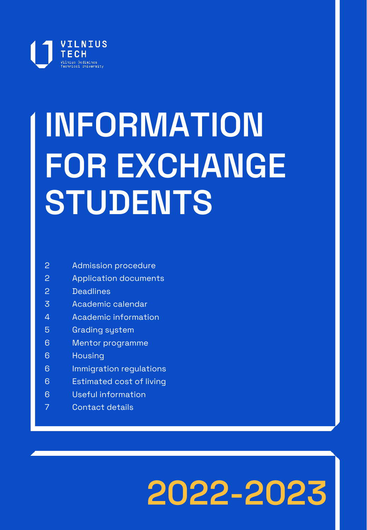

# **INFORMATION FOR EXCHANGE STUDENTS**

- Admission procedure
- Application documents
- Deadlines
- Academic calendar
- Academic information
- Grading system
- Mentor programme
- Housing
- Immigration regulations
- Estimated cost of living
- Useful information
- Contact details

## **2022-2023**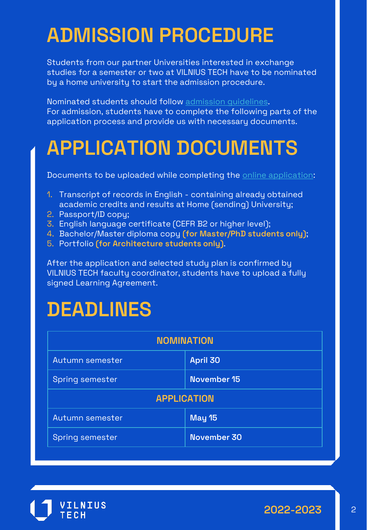### **ADMISSION PROCEDURE**

Students from our partner Universities interested in exchange studies for a semester or two at VILNIUS TECH have to be nominated by a home university to start the admission procedure.

Nominated students should follow [admission guidelines](https://vilniustech.lt/for-international-students/for-exchange-students/studies/319312#319319). For admission, students have to complete the following parts of the application process and provide us with necessary documents.

### **APPLICATION DOCUMENTS**

Documents to be uploaded while completing the [online application](https://exchange.vgtu.lt/):

- 1. Transcript of records in English containing already obtained academic credits and results at Home (sending) University;
- 2. Passport/ID copy;
- 3. English language certificate (CEFR B2 or higher level);
- 4. Bachelor/Master diploma copy **(for Master/PhD students only)**;
- 5. Portfolio **(for Architecture students only)**.

After the application and selected study plan is confirmed by VILNIUS TECH faculty coordinator, students have to upload a fully signed Learning Agreement.

### **DEADLINES**

| <b>NOMINATION</b>      |                 |  |
|------------------------|-----------------|--|
| Autumn semester        | <b>April 30</b> |  |
| <b>Spring semester</b> | November 15     |  |
| <b>APPLICATION</b>     |                 |  |
| Autumn semester        | <b>May 15</b>   |  |
| <b>Spring semester</b> | November 30     |  |

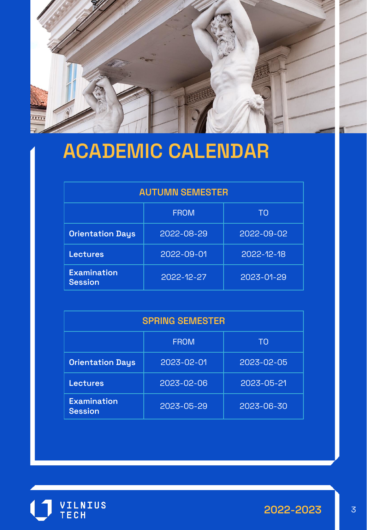

### **ACADEMIC CALENDAR**

#### **AUTUMN SEMESTER**

|                                      | <b>FROM</b> | TΟ         |  |  |
|--------------------------------------|-------------|------------|--|--|
| <b>Orientation Days</b>              | 2022-08-29  | 2022-09-02 |  |  |
| <b>Lectures</b>                      | 2022-09-01  | 2022-12-18 |  |  |
| <b>Examination</b><br><b>Session</b> | 2022-12-27  | 2023-01-29 |  |  |

| <b>SPRING SEMESTER</b>               |             |            |  |
|--------------------------------------|-------------|------------|--|
|                                      | <b>FROM</b> | TO         |  |
| <b>Orientation Days</b>              | 2023-02-01  | 2023-02-05 |  |
| <b>Lectures</b>                      | 2023-02-06  | 2023-05-21 |  |
| <b>Examination</b><br><b>Session</b> | 2023-05-29  | 2023-06-30 |  |



**2022-2023** 3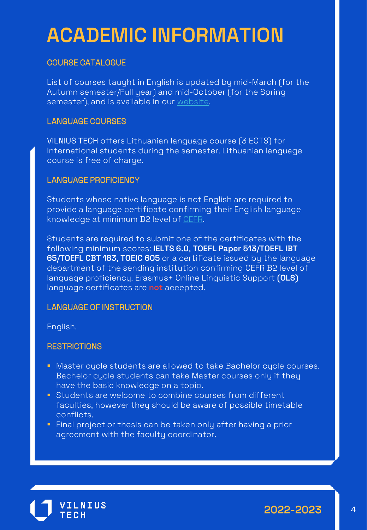### **ACADEMIC INFORMATION**

#### COURSE CATALOGUE

List of courses taught in English is updated by mid-March (for the Autumn semester/Full year) and mid-October (for the Spring semester), and is available in our [website.](https://vilniustech.lt/for-international-students/for-exchange-students/studies/319312)

#### LANGUAGE COURSES

VILNIUS TECH offers Lithuanian language course (3 ECTS) for International students during the semester. Lithuanian language course is free of charge.

#### LANGUAGE PROFICIENCY

Students whose native language is not English are required to provide a language certificate confirming their English language knowledge at minimum B2 level of [CEFR.](https://www.coe.int/en/web/common-european-framework-reference-languages/level-descriptions)

Students are required to submit one of the certificates with the following minimum scores: **IELTS 6.0**, **TOEFL Paper 513**/**TOEFL iBT 65**/**TOEFL CBT 183**, **TOEIC 605** or a certificate issued by the language department of the sending institution confirming CEFR B2 level of language proficiency. Erasmus+ Online Linguistic Support **(OLS)**  language certificates are **not** accepted.

#### LANGUAGE OF INSTRUCTION

English.

#### **RESTRICTIONS**

- **Master cycle students are allowed to take Bachelor cycle courses.** Bachelor cycle students can take Master courses only if they have the basic knowledge on a topic.
- **Students are welcome to combine courses from different** faculties, however they should be aware of possible timetable conflicts.
- **Final project or thesis can be taken only after having a prior** agreement with the faculty coordinator.



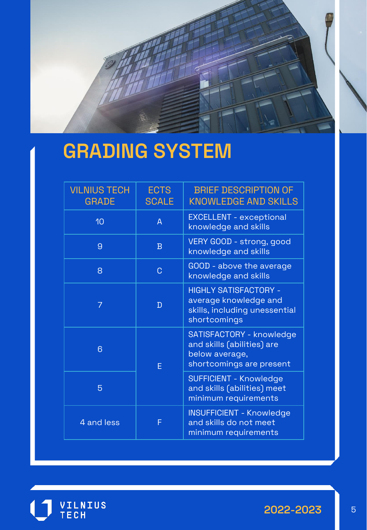

### **GRADING SYSTEM**

| <b>VILNIUS TECH</b><br><b>GRADE</b> | <b>ECTS</b><br><b>SCALE</b> | <b>BRIEF DESCRIPTION OF</b><br><b>KNOWLEDGE AND SKILLS</b>                                             |
|-------------------------------------|-----------------------------|--------------------------------------------------------------------------------------------------------|
| 10                                  | $\overline{A}$              | <b>EXCELLENT - exceptional</b><br>knowledge and skills                                                 |
| $\overline{9}$                      | $\overline{B}$              | VERY GOOD - strong, good<br>knowledge and skills                                                       |
| 8                                   | C                           | GOOD - above the average<br>knowledge and skills                                                       |
|                                     | D                           | <b>HIGHLY SATISFACTORY -</b><br>average knowledge and<br>skills, including unessential<br>shortcomings |
| 6                                   | Е                           | SATISFACTORY - knowledge<br>and skills (abilities) are<br>below average,<br>shortcomings are present   |
| 5                                   |                             | <b>SUFFICIENT - Knowledge</b><br>and skills (abilities) meet<br>minimum requirements                   |
| 4 and less                          | F                           | <b>INSUFFICIENT - Knowledge</b><br>and skills do not meet<br>minimum requirements                      |



**2022-2023** 5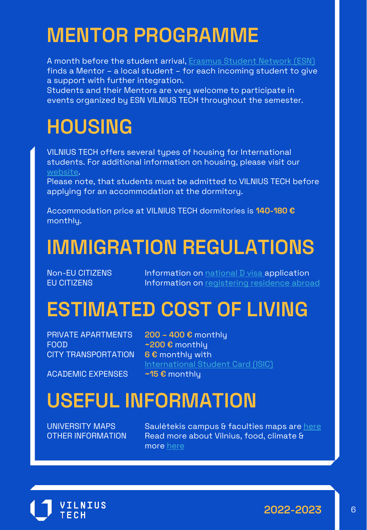### **MENTOR PROGRAMME**

A month before the student arrival, [Erasmus Student Network \(ESN\)](https://vilniustech.lt/for-international-students/mentor-programme/53970) finds a Mentor – a local student – for each incoming student to give a support with further integration.

Students and their Mentors are very welcome to participate in events organized by ESN VILNIUS TECH throughout the semester.

### **HOUSING**

VILNIUS TECH offers several types of housing for International students. For additional information on housing, please visit our [website](https://www.vgtu.lt/for-international-students/-accommodation-/9617).

Please note, that students must be admitted to VILNIUS TECH before applying for an accommodation at the dormitory.

Accommodation price at VILNIUS TECH dormitories is **140-180 €** monthly.

### **IMMIGRATION REGULATIONS**

Non-EU CITIZENS Information on [national D visa](https://www.migracija.lt/esu-studentas) application EU CITIZENS **Information on [registering residence abroad](https://www.migracija.lt/noriu-gauti-teis%C4%97s-laikinai-gyventi-pa%C5%BEym%C4%97jim%C4%85)** 

### **ESTIMATED COST OF LIVING**

PRIVATE APARTMENTS **200 – 400 €** monthly FOOD **~200 €** monthly CITY TRANSPORTATION **6 €** monthly with

ACADEMIC EXPENSES **~15 €** monthly

[International Student Card \(ISIC\)](https://www.isic.org/)

### **USEFUL INFORMATION**

UNIVERSITY MAPS Saulėtekis campus & faculties maps are [here](https://vilniustech.lt/contacts/vilnius-tech-maps/194420?lang=2) OTHER INFORMATION Read more about Vilnius, food, climate & more [here](https://studyin.lt/about-lithuania/useful-information/)